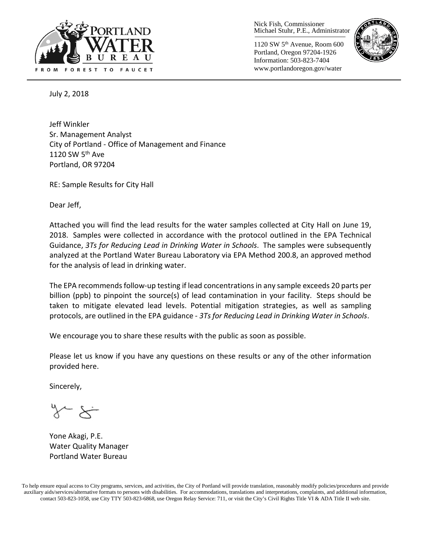

Nick Fish, Commissioner Michael Stuhr, P.E., Administrator

1120 SW 5th Avenue, Room 600 Portland, Oregon 97204-1926 Information: 503-823-7404 www.portlandoregon.gov/water



July 2, 2018

Jeff Winkler Sr. Management Analyst City of Portland - Office of Management and Finance 1120 SW 5<sup>th</sup> Ave Portland, OR 97204

RE: Sample Results for City Hall

Dear Jeff,

Attached you will find the lead results for the water samples collected at City Hall on June 19, 2018. Samples were collected in accordance with the protocol outlined in the EPA Technical Guidance, *3Ts for Reducing Lead in Drinking Water in Schools*. The samples were subsequently analyzed at the Portland Water Bureau Laboratory via EPA Method 200.8, an approved method for the analysis of lead in drinking water.

The EPA recommends follow-up testing if lead concentrations in any sample exceeds 20 parts per billion (ppb) to pinpoint the source(s) of lead contamination in your facility. Steps should be taken to mitigate elevated lead levels. Potential mitigation strategies, as well as sampling protocols, are outlined in the EPA guidance - *3Ts for Reducing Lead in Drinking Water in Schools*.

We encourage you to share these results with the public as soon as possible.

Please let us know if you have any questions on these results or any of the other information provided here.

Sincerely,

Yone Akagi, P.E. Water Quality Manager Portland Water Bureau

To help ensure equal access to City programs, services, and activities, the City of Portland will provide translation, reasonably modify policies/procedures and provide auxiliary aids/services/alternative formats to persons with disabilities. For accommodations, translations and interpretations, complaints, and additional information, contact 503-823-1058, use City TTY 503-823-6868, use Oregon Relay Service: 711, or visi[t the City's Civil Rights Title VI & ADA Title II web site.](http://www.portlandoregon.gov/oehr/66458)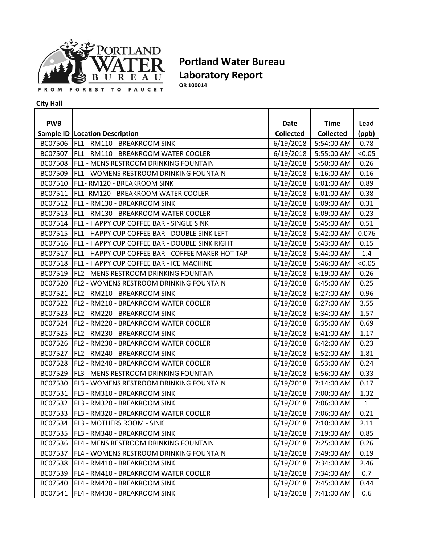

## **Portland Water Bureau Laboratory Report OR 100014**

**City Hall**

| <b>PWB</b> |                                                      | <b>Date</b>      | <b>Time</b>      | Lead         |
|------------|------------------------------------------------------|------------------|------------------|--------------|
|            | Sample ID   Location Description                     | <b>Collected</b> | <b>Collected</b> | (ppb)        |
|            | BC07506   FL1 - RM110 - BREAKROOM SINK               | 6/19/2018        | 5:54:00 AM       | 0.78         |
|            | BC07507   FL1 - RM110 - BREAKROOM WATER COOLER       | 6/19/2018        | 5:55:00 AM       | < 0.05       |
|            | BC07508   FL1 - MENS RESTROOM DRINKING FOUNTAIN      | 6/19/2018        | 5:50:00 AM       | 0.26         |
| BC07509    | <b>FL1 - WOMENS RESTROOM DRINKING FOUNTAIN</b>       | 6/19/2018        | 6:16:00 AM       | 0.16         |
| BC07510    | <b>FL1-RM120 - BREAKROOM SINK</b>                    | 6/19/2018        | 6:01:00 AM       | 0.89         |
| BC07511    | FL1-RM120 - BREAKROOM WATER COOLER                   | 6/19/2018        | 6:01:00 AM       | 0.38         |
| BC07512    | <b>FL1 - RM130 - BREAKROOM SINK</b>                  | 6/19/2018        | 6:09:00 AM       | 0.31         |
| BC07513    | <b>FL1 - RM130 - BREAKROOM WATER COOLER</b>          | 6/19/2018        | 6:09:00 AM       | 0.23         |
| BC07514    | <b>FL1 - HAPPY CUP COFFEE BAR - SINGLE SINK</b>      | 6/19/2018        | 5:45:00 AM       | 0.51         |
| BC07515    | <b>FL1 - HAPPY CUP COFFEE BAR - DOUBLE SINK LEFT</b> | 6/19/2018        | 5:42:00 AM       | 0.076        |
| BC07516    | FL1 - HAPPY CUP COFFEE BAR - DOUBLE SINK RIGHT       | 6/19/2018        | 5:43:00 AM       | 0.15         |
| BC07517    | FL1 - HAPPY CUP COFFEE BAR - COFFEE MAKER HOT TAP    | 6/19/2018        | 5:44:00 AM       | 1.4          |
|            | BC07518   FL1 - HAPPY CUP COFFEE BAR - ICE MACHINE   | 6/19/2018        | 5:46:00 AM       | < 0.05       |
| BC07519    | <b>FL2 - MENS RESTROOM DRINKING FOUNTAIN</b>         | 6/19/2018        | 6:19:00 AM       | 0.26         |
| BC07520    | <b>FL2 - WOMENS RESTROOM DRINKING FOUNTAIN</b>       | 6/19/2018        | 6:45:00 AM       | 0.25         |
| BC07521    | FL2 - RM210 - BREAKROOM SINK                         | 6/19/2018        | 6:27:00 AM       | 0.96         |
| BC07522    | <b>FL2 - RM210 - BREAKROOM WATER COOLER</b>          | 6/19/2018        | 6:27:00 AM       | 3.55         |
| BC07523    | FL2 - RM220 - BREAKROOM SINK                         | 6/19/2018        | 6:34:00 AM       | 1.57         |
| BC07524    | <b>FL2 - RM220 - BREAKROOM WATER COOLER</b>          | 6/19/2018        | 6:35:00 AM       | 0.69         |
| BC07525    | FL2 - RM230 - BREAKROOM SINK                         | 6/19/2018        | 6:41:00 AM       | 1.17         |
|            | BC07526   FL2 - RM230 - BREAKROOM WATER COOLER       | 6/19/2018        | 6:42:00 AM       | 0.23         |
| BC07527    | <b>FL2 - RM240 - BREAKROOM SINK</b>                  | 6/19/2018        | 6:52:00 AM       | 1.81         |
| BC07528    | <b> FL2 - RM240 - BREAKROOM WATER COOLER</b>         | 6/19/2018        | 6:53:00 AM       | 0.24         |
| BC07529    | <b>FL3 - MENS RESTROOM DRINKING FOUNTAIN</b>         | 6/19/2018        | 6:56:00 AM       | 0.33         |
| BC07530    | <b>FL3 - WOMENS RESTROOM DRINKING FOUNTAIN</b>       | 6/19/2018        | 7:14:00 AM       | 0.17         |
| BC07531    | FL3 - RM310 - BREAKROOM SINK                         | 6/19/2018        | 7:00:00 AM       | 1.32         |
| BC07532    | <b>FL3 - RM320 - BREAKROOM SINK</b>                  | 6/19/2018        | 7:06:00 AM       | $\mathbf{1}$ |
| BC07533    | FL3 - RM320 - BREAKROOM WATER COOLER                 | 6/19/2018        | 7:06:00 AM       | 0.21         |
| BC07534    | <b>FL3 - MOTHERS ROOM - SINK</b>                     | 6/19/2018        | 7:10:00 AM       | 2.11         |
| BC07535    | FL3 - RM340 - BREAKROOM SINK                         | 6/19/2018        | 7:19:00 AM       | 0.85         |
| BC07536    | <b>FL4 - MENS RESTROOM DRINKING FOUNTAIN</b>         | 6/19/2018        | 7:25:00 AM       | 0.26         |
| BC07537    | FL4 - WOMENS RESTROOM DRINKING FOUNTAIN              | 6/19/2018        | 7:49:00 AM       | 0.19         |
| BC07538    | FL4 - RM410 - BREAKROOM SINK                         | 6/19/2018        | 7:34:00 AM       | 2.46         |
| BC07539    | FL4 - RM410 - BREAKROOM WATER COOLER                 | 6/19/2018        | 7:34:00 AM       | 0.7          |
| BC07540    | FL4 - RM420 - BREAKROOM SINK                         | 6/19/2018        | 7:45:00 AM       | 0.44         |
| BC07541    | FL4 - RM430 - BREAKROOM SINK                         | 6/19/2018        | 7:41:00 AM       | 0.6          |